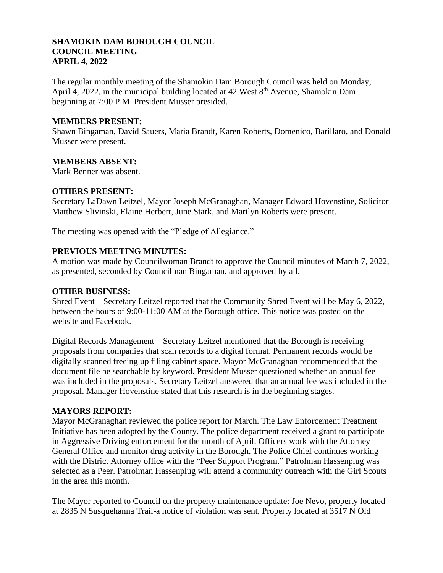## **SHAMOKIN DAM BOROUGH COUNCIL COUNCIL MEETING APRIL 4, 2022**

The regular monthly meeting of the Shamokin Dam Borough Council was held on Monday, April 4, 2022, in the municipal building located at 42 West 8<sup>th</sup> Avenue, Shamokin Dam beginning at 7:00 P.M. President Musser presided.

## **MEMBERS PRESENT:**

Shawn Bingaman, David Sauers, Maria Brandt, Karen Roberts, Domenico, Barillaro, and Donald Musser were present.

## **MEMBERS ABSENT:**

Mark Benner was absent.

## **OTHERS PRESENT:**

Secretary LaDawn Leitzel, Mayor Joseph McGranaghan, Manager Edward Hovenstine, Solicitor Matthew Slivinski, Elaine Herbert, June Stark, and Marilyn Roberts were present.

The meeting was opened with the "Pledge of Allegiance."

## **PREVIOUS MEETING MINUTES:**

A motion was made by Councilwoman Brandt to approve the Council minutes of March 7, 2022, as presented, seconded by Councilman Bingaman, and approved by all.

#### **OTHER BUSINESS:**

Shred Event – Secretary Leitzel reported that the Community Shred Event will be May 6, 2022, between the hours of 9:00-11:00 AM at the Borough office. This notice was posted on the website and Facebook.

Digital Records Management – Secretary Leitzel mentioned that the Borough is receiving proposals from companies that scan records to a digital format. Permanent records would be digitally scanned freeing up filing cabinet space. Mayor McGranaghan recommended that the document file be searchable by keyword. President Musser questioned whether an annual fee was included in the proposals. Secretary Leitzel answered that an annual fee was included in the proposal. Manager Hovenstine stated that this research is in the beginning stages.

#### **MAYORS REPORT:**

Mayor McGranaghan reviewed the police report for March. The Law Enforcement Treatment Initiative has been adopted by the County. The police department received a grant to participate in Aggressive Driving enforcement for the month of April. Officers work with the Attorney General Office and monitor drug activity in the Borough. The Police Chief continues working with the District Attorney office with the "Peer Support Program." Patrolman Hassenplug was selected as a Peer. Patrolman Hassenplug will attend a community outreach with the Girl Scouts in the area this month.

The Mayor reported to Council on the property maintenance update: Joe Nevo, property located at 2835 N Susquehanna Trail-a notice of violation was sent, Property located at 3517 N Old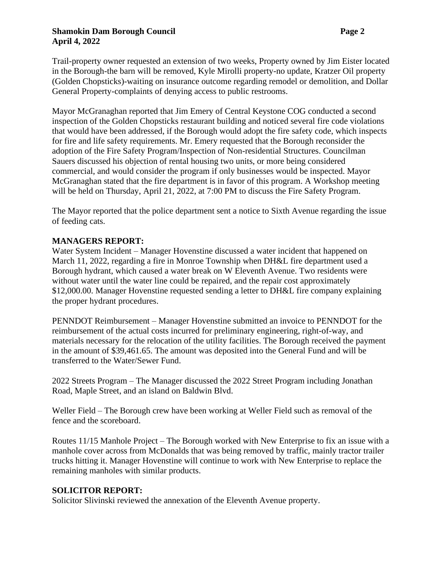### **Shamokin Dam Borough Council Page 2 April 4, 2022**

Trail-property owner requested an extension of two weeks, Property owned by Jim Eister located in the Borough-the barn will be removed, Kyle Mirolli property-no update, Kratzer Oil property (Golden Chopsticks)-waiting on insurance outcome regarding remodel or demolition, and Dollar General Property-complaints of denying access to public restrooms.

Mayor McGranaghan reported that Jim Emery of Central Keystone COG conducted a second inspection of the Golden Chopsticks restaurant building and noticed several fire code violations that would have been addressed, if the Borough would adopt the fire safety code, which inspects for fire and life safety requirements. Mr. Emery requested that the Borough reconsider the adoption of the Fire Safety Program/Inspection of Non-residential Structures. Councilman Sauers discussed his objection of rental housing two units, or more being considered commercial, and would consider the program if only businesses would be inspected. Mayor McGranaghan stated that the fire department is in favor of this program. A Workshop meeting will be held on Thursday, April 21, 2022, at 7:00 PM to discuss the Fire Safety Program.

The Mayor reported that the police department sent a notice to Sixth Avenue regarding the issue of feeding cats.

# **MANAGERS REPORT:**

Water System Incident – Manager Hovenstine discussed a water incident that happened on March 11, 2022, regarding a fire in Monroe Township when DH&L fire department used a Borough hydrant, which caused a water break on W Eleventh Avenue. Two residents were without water until the water line could be repaired, and the repair cost approximately \$12,000.00. Manager Hovenstine requested sending a letter to DH&L fire company explaining the proper hydrant procedures.

PENNDOT Reimbursement – Manager Hovenstine submitted an invoice to PENNDOT for the reimbursement of the actual costs incurred for preliminary engineering, right-of-way, and materials necessary for the relocation of the utility facilities. The Borough received the payment in the amount of \$39,461.65. The amount was deposited into the General Fund and will be transferred to the Water/Sewer Fund.

2022 Streets Program – The Manager discussed the 2022 Street Program including Jonathan Road, Maple Street, and an island on Baldwin Blvd.

Weller Field – The Borough crew have been working at Weller Field such as removal of the fence and the scoreboard.

Routes 11/15 Manhole Project – The Borough worked with New Enterprise to fix an issue with a manhole cover across from McDonalds that was being removed by traffic, mainly tractor trailer trucks hitting it. Manager Hovenstine will continue to work with New Enterprise to replace the remaining manholes with similar products.

# **SOLICITOR REPORT:**

Solicitor Slivinski reviewed the annexation of the Eleventh Avenue property.